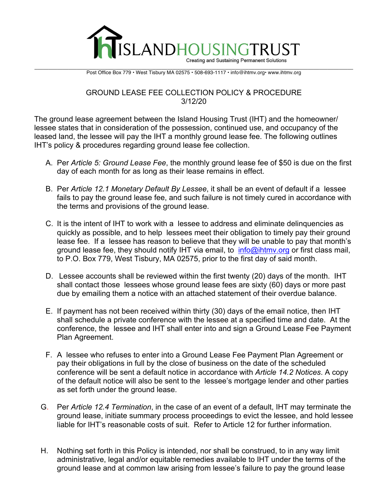

 $\mathcal{L}_\mathcal{L} = \mathcal{L}_\mathcal{L} = \mathcal{L}_\mathcal{L} = \mathcal{L}_\mathcal{L} = \mathcal{L}_\mathcal{L} = \mathcal{L}_\mathcal{L} = \mathcal{L}_\mathcal{L} = \mathcal{L}_\mathcal{L} = \mathcal{L}_\mathcal{L} = \mathcal{L}_\mathcal{L} = \mathcal{L}_\mathcal{L} = \mathcal{L}_\mathcal{L} = \mathcal{L}_\mathcal{L} = \mathcal{L}_\mathcal{L} = \mathcal{L}_\mathcal{L} = \mathcal{L}_\mathcal{L} = \mathcal{L}_\mathcal{L}$ Post Office Box 779 • West Tisbury MA 02575 • 508-693-1117 • info@ihtmv.org• www.ihtmv.org

## GROUND LEASE FEE COLLECTION POLICY & PROCEDURE 3/12/20

The ground lease agreement between the Island Housing Trust (IHT) and the homeowner/ lessee states that in consideration of the possession, continued use, and occupancy of the leased land, the lessee will pay the IHT a monthly ground lease fee. The following outlines IHT's policy & procedures regarding ground lease fee collection.

- A. Per *Article 5: Ground Lease Fee*, the monthly ground lease fee of \$50 is due on the first day of each month for as long as their lease remains in effect.
- B. Per *Article 12.1 Monetary Default By Lessee*, it shall be an event of default if a lessee fails to pay the ground lease fee, and such failure is not timely cured in accordance with the terms and provisions of the ground lease.
- C. It is the intent of IHT to work with a lessee to address and eliminate delinquencies as quickly as possible, and to help lessees meet their obligation to timely pay their ground lease fee. If a lessee has reason to believe that they will be unable to pay that month's ground lease fee, they should notify IHT via email, to info@ihtmy.org or first class mail, to P.O. Box 779, West Tisbury, MA 02575, prior to the first day of said month.
- D. Lessee accounts shall be reviewed within the first twenty (20) days of the month. IHT shall contact those lessees whose ground lease fees are sixty (60) days or more past due by emailing them a notice with an attached statement of their overdue balance.
- E. If payment has not been received within thirty (30) days of the email notice, then IHT shall schedule a private conference with the lessee at a specified time and date. At the conference, the lessee and IHT shall enter into and sign a Ground Lease Fee Payment Plan Agreement.
- F. A lessee who refuses to enter into a Ground Lease Fee Payment Plan Agreement or pay their obligations in full by the close of business on the date of the scheduled conference will be sent a default notice in accordance with *Article 14.2 Notices*. A copy of the default notice will also be sent to the lessee's mortgage lender and other parties as set forth under the ground lease.
- G. Per *Article 12.4 Termination*, in the case of an event of a default, IHT may terminate the ground lease, initiate summary process proceedings to evict the lessee, and hold lessee liable for IHT's reasonable costs of suit. Refer to Article 12 for further information.
- H. Nothing set forth in this Policy is intended, nor shall be construed, to in any way limit administrative, legal and/or equitable remedies available to IHT under the terms of the ground lease and at common law arising from lessee's failure to pay the ground lease